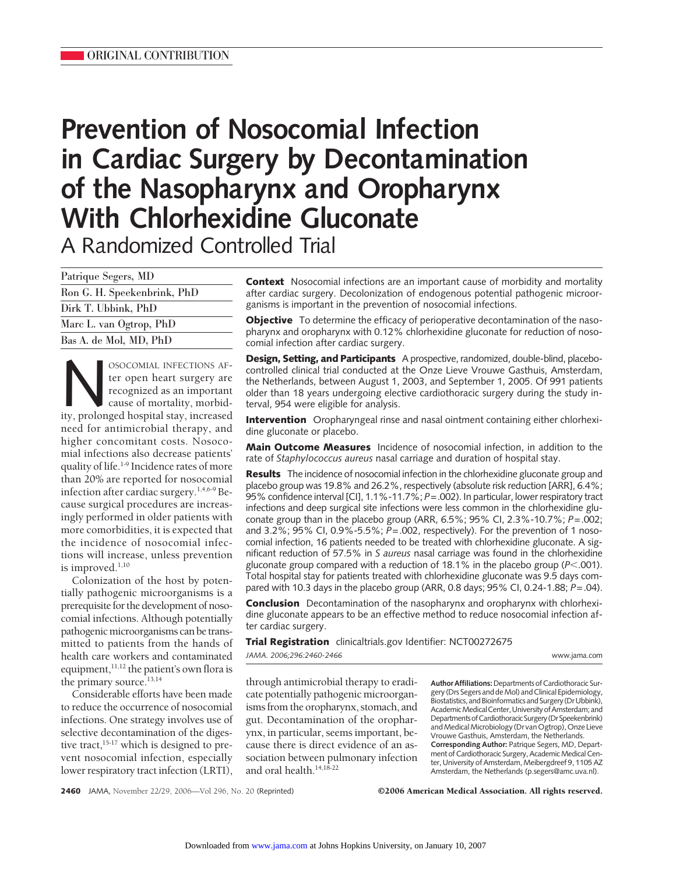# **Prevention of Nosocomial Infection in Cardiac Surgery by Decontamination of the Nasopharynx and Oropharynx With Chlorhexidine Gluconate** A Randomized Controlled Trial

| Patrique Segers, MD         |
|-----------------------------|
| Ron G. H. Speekenbrink, PhD |
| Dirk T. Ubbink, PhD         |
| Marc L. van Ogtrop, PhD     |
| Bas A. de Mol, MD, PhD      |

NOSOCOMIAL INFECTIONS AF-<br>
ter open heart surgery are<br>
recognized as an important<br>
cause of mortality, morbid-<br>
ity, prolonged hospital stay, increased ter open heart surgery are recognized as an important cause of mortality, morbidneed for antimicrobial therapy, and higher concomitant costs. Nosocomial infections also decrease patients' quality of life.<sup>1-9</sup> Incidence rates of more than 20% are reported for nosocomial infection after cardiac surgery.1,4,6-9 Because surgical procedures are increasingly performed in older patients with more comorbidities, it is expected that the incidence of nosocomial infections will increase, unless prevention is improved. $1,10$ 

Colonization of the host by potentially pathogenic microorganisms is a prerequisite for the development of nosocomial infections. Although potentially pathogenic microorganisms can be transmitted to patients from the hands of health care workers and contaminated equipment, 11,12 the patient's own flora is the primary source.<sup>13,14</sup>

Considerable efforts have been made to reduce the occurrence of nosocomial infections. One strategy involves use of selective decontamination of the digestive tract, $15-17$  which is designed to prevent nosocomial infection, especially lower respiratory tract infection (LRTI),

**Context** Nosocomial infections are an important cause of morbidity and mortality after cardiac surgery. Decolonization of endogenous potential pathogenic microorganisms is important in the prevention of nosocomial infections.

**Objective** To determine the efficacy of perioperative decontamination of the nasopharynx and oropharynx with 0.12% chlorhexidine gluconate for reduction of nosocomial infection after cardiac surgery.

**Design, Setting, and Participants** A prospective, randomized, double-blind, placebocontrolled clinical trial conducted at the Onze Lieve Vrouwe Gasthuis, Amsterdam, the Netherlands, between August 1, 2003, and September 1, 2005. Of 991 patients older than 18 years undergoing elective cardiothoracic surgery during the study interval, 954 were eligible for analysis.

**Intervention** Oropharyngeal rinse and nasal ointment containing either chlorhexidine gluconate or placebo.

**Main Outcome Measures** Incidence of nosocomial infection, in addition to the rate of *Staphylococcus aureus* nasal carriage and duration of hospital stay.

**Results** The incidence of nosocomial infection in the chlorhexidine gluconate group and placebo group was 19.8% and 26.2%, respectively (absolute risk reduction [ARR], 6.4%; 95% confidence interval [CI], 1.1%-11.7%; *P*=.002). In particular, lower respiratory tract infections and deep surgical site infections were less common in the chlorhexidine gluconate group than in the placebo group (ARR, 6.5%; 95% CI, 2.3%-10.7%; *P*=.002; and 3.2%; 95% CI, 0.9%-5.5%; *P*=.002, respectively). For the prevention of 1 nosocomial infection, 16 patients needed to be treated with chlorhexidine gluconate. A significant reduction of 57.5% in *S aureus* nasal carriage was found in the chlorhexidine gluconate group compared with a reduction of 18.1% in the placebo group (P<.001). Total hospital stay for patients treated with chlorhexidine gluconate was 9.5 days compared with 10.3 days in the placebo group (ARR, 0.8 days; 95% CI, 0.24-1.88; *P*=.04).

**Conclusion** Decontamination of the nasopharynx and oropharynx with chlorhexidine gluconate appears to be an effective method to reduce nosocomial infection after cardiac surgery.

**Trial Registration** clinicaltrials.gov Identifier: NCT00272675 *JAMA. 2006;296:2460-2466* www.jama.com

through antimicrobial therapy to eradicate potentially pathogenic microorganisms from the oropharynx, stomach, and gut. Decontamination of the oropharynx, in particular, seems important, because there is direct evidence of an association between pulmonary infection and oral health.14,18-22

Author Affiliations: Departments of Cardiothoracic Surgery (Drs Segers and de Mol) and Clinical Epidemiology, Biostatistics, and Bioinformatics and Surgery (DrUbbink), Academic Medical Center, University of Amsterdam; and Departments of Cardiothoracic Surgery (Dr Speekenbrink) and Medical Microbiology (Dr van Ogtrop), Onze Lieve Vrouwe Gasthuis, Amsterdam, the Netherlands. **Corresponding Author:** Patrique Segers, MD, Department of Cardiothoracic Surgery, Academic Medical Center, University of Amsterdam, Meibergdreef 9, 1105 AZ Amsterdam, the Netherlands (p.segers@amc.uva.nl).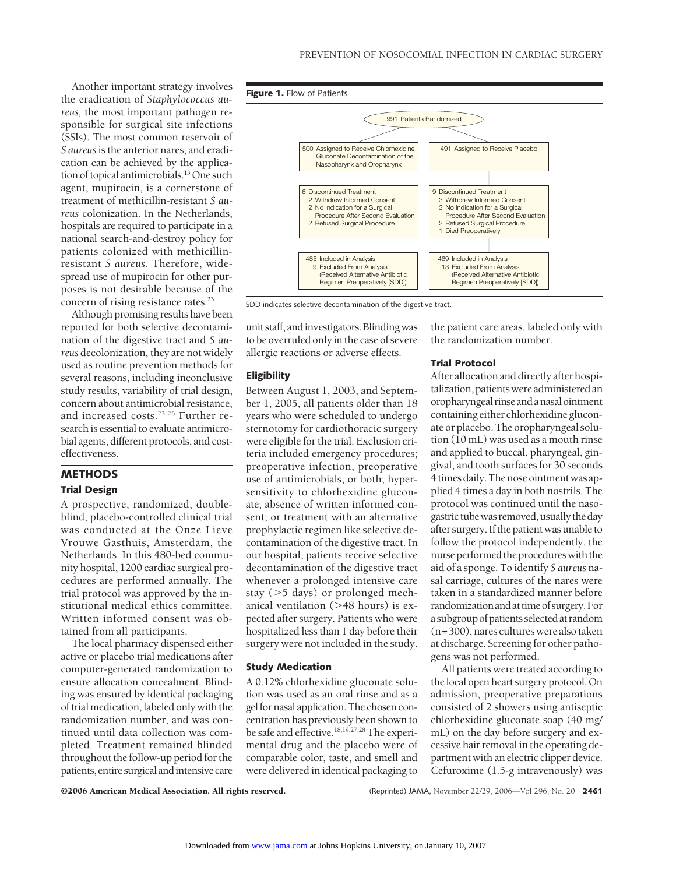Another important strategy involves the eradication of *Staphylococcus aureus,* the most important pathogen responsible for surgical site infections (SSIs). The most common reservoir of *S aureus*is the anterior nares, and eradication can be achieved by the application of topical antimicrobials.<sup>13</sup> One such agent, mupirocin, is a cornerstone of treatment of methicillin-resistant *S aureus* colonization. In the Netherlands, hospitals are required to participate in a national search-and-destroy policy for patients colonized with methicillinresistant *S aureus*. Therefore, widespread use of mupirocin for other purposes is not desirable because of the concern of rising resistance rates.<sup>23</sup>

Although promising results have been reported for both selective decontamination of the digestive tract and *S aureus* decolonization, they are not widely used as routine prevention methods for several reasons, including inconclusive study results, variability of trial design, concern about antimicrobial resistance, and increased costs.<sup>23-26</sup> Further research is essential to evaluate antimicrobial agents, different protocols, and costeffectiveness.

# **METHODS Trial Design**

A prospective, randomized, doubleblind, placebo-controlled clinical trial was conducted at the Onze Lieve Vrouwe Gasthuis, Amsterdam, the Netherlands. In this 480-bed community hospital, 1200 cardiac surgical procedures are performed annually. The trial protocol was approved by the institutional medical ethics committee. Written informed consent was obtained from all participants.

The local pharmacy dispensed either active or placebo trial medications after computer-generated randomization to ensure allocation concealment. Blinding was ensured by identical packaging of trial medication,labeled only with the randomization number, and was continued until data collection was completed. Treatment remained blinded throughout the follow-up period for the patients, entire surgical and intensive care



SDD indicates selective decontamination of the digestive tract.

unit staff, andinvestigators. Blinding was to be overruled only in the case of severe allergic reactions or adverse effects.

### **Eligibility**

Between August 1, 2003, and September 1, 2005, all patients older than 18 years who were scheduled to undergo sternotomy for cardiothoracic surgery were eligible for the trial. Exclusion criteria included emergency procedures; preoperative infection, preoperative use of antimicrobials, or both; hypersensitivity to chlorhexidine gluconate; absence of written informed consent; or treatment with an alternative prophylactic regimen like selective decontamination of the digestive tract. In our hospital, patients receive selective decontamination of the digestive tract whenever a prolonged intensive care stay (>5 days) or prolonged mechanical ventilation (>48 hours) is expected after surgery. Patients who were hospitalized less than 1 day before their surgery were not included in the study.

# **Study Medication**

A 0.12% chlorhexidine gluconate solution was used as an oral rinse and as a gel for nasal application. The chosen concentration has previously been shown to be safe and effective.18,19,27,28 The experimental drug and the placebo were of comparable color, taste, and smell and were delivered in identical packaging to

the patient care areas, labeled only with the randomization number.

# **Trial Protocol**

After allocation and directly after hospitalization, patientswere administered an oropharyngeal rinseandanasalointment containing either chlorhexidine gluconate or placebo. The oropharyngeal solution (10 mL) was used as a mouth rinse and applied to buccal, pharyngeal, gingival, and tooth surfaces for 30 seconds 4 times daily.The nose ointment was applied 4 times a day in both nostrils. The protocol was continued until the nasogastric tube was removed, usually the day after surgery. If the patient was unable to follow the protocol independently, the nurse performed the procedureswith the aid of a sponge. To identify *S aureus* nasal carriage, cultures of the nares were taken in a standardized manner before randomization and at time of surgery. For a subgroup of patients selected at random (n=300), nares cultures were also taken at discharge. Screening for other pathogens was not performed.

All patients were treated according to the local open heart surgery protocol. On admission, preoperative preparations consisted of 2 showers using antiseptic chlorhexidine gluconate soap (40 mg/ mL) on the day before surgery and excessive hair removal in the operating department with an electric clipper device. Cefuroxime (1.5-g intravenously) was

©2006 American Medical Association. All rights reserved. (Reprinted) JAMA, November 22/29, 2006—Vol 296, No. 20 **2461**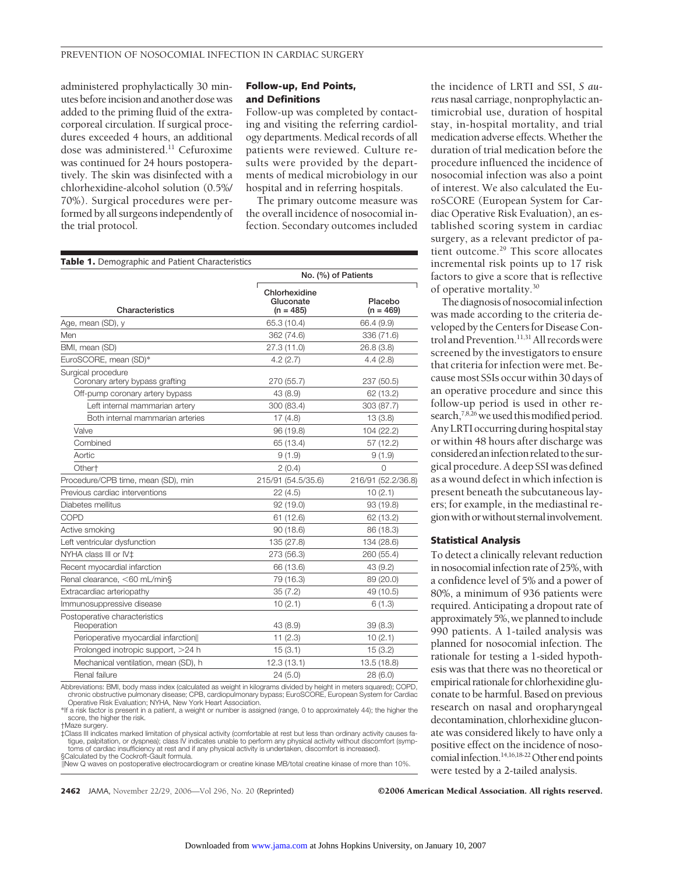administered prophylactically 30 minutes before incision and another dose was added to the priming fluid of the extracorporeal circulation. If surgical procedures exceeded 4 hours, an additional dose was administered.<sup>11</sup> Cefuroxime was continued for 24 hours postoperatively. The skin was disinfected with a chlorhexidine-alcohol solution (0.5%/ 70%). Surgical procedures were performed by all surgeons independently of the trial protocol.

# **Follow-up, End Points, and Definitions**

Follow-up was completed by contacting and visiting the referring cardiology departments. Medical records of all patients were reviewed. Culture results were provided by the departments of medical microbiology in our hospital and in referring hospitals.

The primary outcome measure was the overall incidence of nosocomial infection. Secondary outcomes included

| <b>Table 1.</b> Demographic and Patient Characteristics |                                           |                        |
|---------------------------------------------------------|-------------------------------------------|------------------------|
|                                                         |                                           | No. (%) of Patients    |
| Characteristics                                         | Chlorhexidine<br>Gluconate<br>$(n = 485)$ | Placebo<br>$(n = 469)$ |
| Age, mean (SD), y                                       | 65.3 (10.4)                               | 66.4 (9.9)             |
| Men                                                     | 362 (74.6)                                | 336 (71.6)             |
| BMI, mean (SD)                                          | 27.3 (11.0)                               | 26.8(3.8)              |
| EuroSCORE, mean (SD)*                                   | 4.2(2.7)                                  | 4.4(2.8)               |
| Surgical procedure<br>Coronary artery bypass grafting   | 270 (55.7)                                | 237 (50.5)             |
| Off-pump coronary artery bypass                         | 43 (8.9)                                  | 62 (13.2)              |
| Left internal mammarian artery                          | 300 (83.4)                                | 303 (87.7)             |
| Both internal mammarian arteries                        | 17(4.8)                                   | 13(3.8)                |
| Valve                                                   | 96 (19.8)                                 | 104 (22.2)             |
| Combined                                                | 65 (13.4)                                 | 57 (12.2)              |
| Aortic                                                  | 9(1.9)                                    | 9(1.9)                 |
| Other <sup>+</sup>                                      | 2(0.4)                                    | $\Omega$               |
| Procedure/CPB time, mean (SD), min                      | 215/91 (54.5/35.6)                        | 216/91 (52.2/36.8)     |
| Previous cardiac interventions                          | 22(4.5)                                   | 10(2.1)                |
| Diabetes mellitus                                       | 92 (19.0)                                 | 93 (19.8)              |
| COPD                                                    | 61 (12.6)                                 | 62 (13.2)              |
| Active smoking                                          | 90(18.6)                                  | 86 (18.3)              |
| Left ventricular dysfunction                            | 135 (27.8)                                | 134 (28.6)             |
| NYHA class III or IV±                                   | 273 (56.3)                                | 260 (55.4)             |
| Recent myocardial infarction                            | 66 (13.6)                                 | 43 (9.2)               |
| Renal clearance, <60 mL/min§                            | 79 (16.3)                                 | 89 (20.0)              |
| Extracardiac arteriopathy                               | 35(7.2)                                   | 49 (10.5)              |
| Immunosuppressive disease                               | 10(2.1)                                   | 6(1.3)                 |
| Postoperative characteristics<br>Reoperation            | 43 (8.9)                                  | 39(8.3)                |
| Perioperative myocardial infarction                     | 11(2.3)                                   | 10(2.1)                |
| Prolonged inotropic support, >24 h                      | 15(3.1)                                   | 15(3.2)                |
| Mechanical ventilation, mean (SD), h                    | 12.3(13.1)                                | 13.5 (18.8)            |
| Renal failure                                           | 24 (5.0)                                  | 28 (6.0)               |

Abbreviations: BMI, body mass index (calculated as weight in kilograms divided by height in meters squared); COPD, chronic obstructive pulmonary disease; CPB, cardiopulmonary bypass; EuroSCORE, European System for Cardiac Operative Risk Evaluation; NYHA, New York Heart Association.

\*If a risk factor is present in a patient, a weight or number is assigned (range, 0 to approximately 44); the higher the score, the higher the risk. †Maze surgery.

‡Class III indicates marked limitation of physical activity (comfortable at rest but less than ordinary activity causes fatigue, palpitation, or dyspnea); class IV indicates unable to perform any physical activity without discomfort (symp-<br>toms of cardiac insufficiency at rest and if any physical activity is undertaken, discomfort is increase

§Calculated by the Cockroft-Gault formula. New Q waves on postoperative electrocardiogram or creatine kinase MB/total creatine kinase of more than 10%.

the incidence of LRTI and SSI, *S aureus* nasal carriage, nonprophylactic antimicrobial use, duration of hospital stay, in-hospital mortality, and trial medication adverse effects.Whether the duration of trial medication before the procedure influenced the incidence of nosocomial infection was also a point of interest. We also calculated the EuroSCORE (European System for Cardiac Operative Risk Evaluation), an established scoring system in cardiac surgery, as a relevant predictor of patient outcome.<sup>29</sup> This score allocates incremental risk points up to 17 risk factors to give a score that is reflective of operative mortality.30

The diagnosis of nosocomialinfection was made according to the criteria developed by the Centers for Disease Control and Prevention.<sup>11,31</sup> All records were screened by the investigators to ensure that criteria for infection were met. Because most SSIs occur within 30 days of an operative procedure and since this follow-up period is used in other research,<sup>7,8,26</sup> we used this modified period. Any LRTI occurring during hospital stay or within 48 hours after discharge was consideredaninfection related to the surgical procedure. A deep SSI was defined as a wound defect in which infection is present beneath the subcutaneous layers; for example, in the mediastinal regionwithorwithoutsternalinvolvement.

#### **Statistical Analysis**

To detect a clinically relevant reduction in nosocomial infection rate of 25%, with a confidence level of 5% and a power of 80%, a minimum of 936 patients were required. Anticipating a dropout rate of approximately 5%, we planned to include 990 patients. A 1-tailed analysis was planned for nosocomial infection. The rationale for testing a 1-sided hypothesis was that there was no theoretical or empirical rationale for chlorhexidine gluconate to be harmful. Based on previous research on nasal and oropharyngeal decontamination, chlorhexidine gluconate was considered likely to have only a positive effect on the incidence of nosocomial infection.<sup>14,16,18-22</sup> Other end points were tested by a 2-tailed analysis.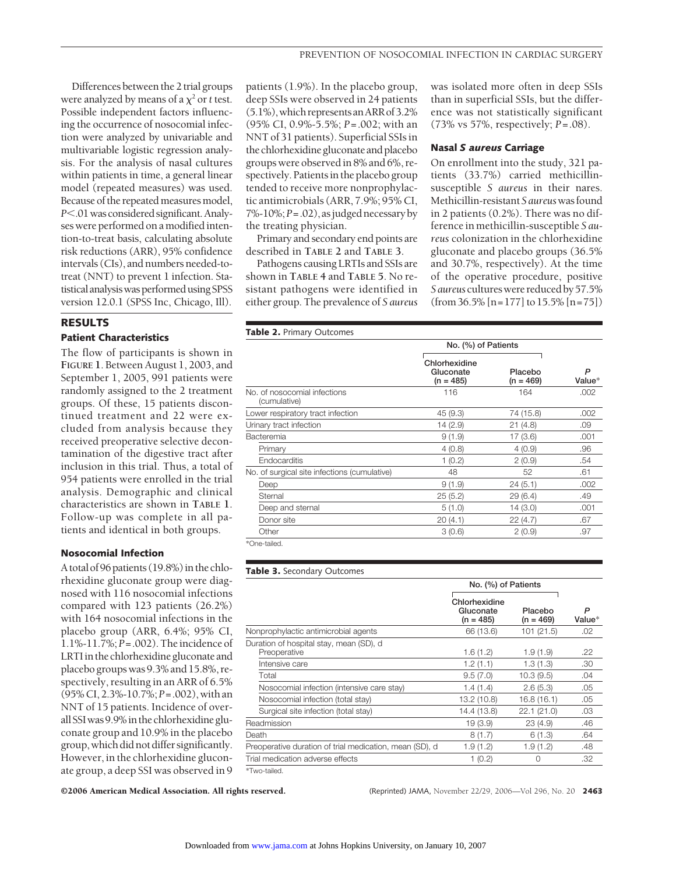Differences between the 2 trial groups were analyzed by means of a  $\chi^2$  or *t* test. Possible independent factors influencing the occurrence of nosocomial infection were analyzed by univariable and multivariable logistic regression analysis. For the analysis of nasal cultures within patients in time, a general linear model (repeated measures) was used. Because of the repeated measures model, *P*.01was considered significant.Analyses were performed on a modified intention-to-treat basis, calculating absolute risk reductions (ARR), 95% confidence intervals (CIs), and numbers needed-totreat (NNT) to prevent 1 infection. Statistical analysis was performed using SPSS version 12.0.1 (SPSS Inc, Chicago, Ill).

#### **RESULTS**

### **Patient Characteristics**

The flow of participants is shown in **FIGURE 1**. Between August 1, 2003, and September 1, 2005, 991 patients were randomly assigned to the 2 treatment groups. Of these, 15 patients discontinued treatment and 22 were excluded from analysis because they received preoperative selective decontamination of the digestive tract after inclusion in this trial. Thus, a total of 954 patients were enrolled in the trial analysis. Demographic and clinical characteristics are shown in **TABLE 1**. Follow-up was complete in all patients and identical in both groups.

#### **Nosocomial Infection**

A total of 96 patients  $(19.8\%)$  in the chlorhexidine gluconate group were diagnosed with 116 nosocomial infections compared with 123 patients (26.2%) with 164 nosocomial infections in the placebo group (ARR, 6.4%; 95% CI, 1.1%-11.7%; *P*=.002). Theincidence of LRTIin the chlorhexidinegluconate and placebo groups was 9.3% and 15.8%, respectively, resulting in an ARR of 6.5% (95%CI, 2.3%-10.7%;*P*=.002), with an NNT of 15 patients. Incidence of overallSSIwas 9.9%in thechlorhexidinegluconate group and 10.9% in the placebo group,which did not differ significantly. However, in the chlorhexidine gluconate group, a deep SSI was observed in 9

patients (1.9%). In the placebo group, deep SSIs were observed in 24 patients (5.1%),which representsanARRof 3.2% (95% CI, 0.9%-5.5%; *P*=.002; with an NNT of 31 patients). Superficial SSIs in thechlorhexidinegluconateand placebo groups were observedin 8% and 6%, respectively. Patientsin the placebo group tended to receive more nonprophylactic antimicrobials (ARR, 7.9%; 95% CI, 7%-10%;*P*=.02), asjudged necessary by the treating physician.

Primary and secondary end points are described in **TABLE 2** and **TABLE 3**.

Pathogens causing LRTIs and SSIs are shown in **TABLE 4** and **TABLE 5**. No resistant pathogens were identified in either group. The prevalence of *S aureus* was isolated more often in deep SSIs than in superficial SSIs, but the difference was not statistically significant (73% vs 57%, respectively; *P*=.08).

#### **Nasal** *S aureus* **Carriage**

On enrollment into the study, 321 patients (33.7%) carried methicillinsusceptible *S aureus* in their nares. Methicillin-resistant*S aureus*wasfound in 2 patients (0.2%). There was no difference in methicillin-susceptible *S aureus* colonization in the chlorhexidine gluconate and placebo groups (36.5% and 30.7%, respectively). At the time of the operative procedure, positive *Saureus* cultureswere reduced by 57.5% (from 36.5% [n=177] to 15.5% [n=75])

|  |  |  |  |  | Table 2. Primary Outcomes |
|--|--|--|--|--|---------------------------|
|--|--|--|--|--|---------------------------|

|                                              | No. (%) of Patients                       |                        |             |  |
|----------------------------------------------|-------------------------------------------|------------------------|-------------|--|
|                                              | Chlorhexidine<br>Gluconate<br>$(n = 485)$ | Placebo<br>$(n = 469)$ | P<br>Value* |  |
| No. of nosocomial infections<br>(cumulative) | 116                                       | 164                    | .002        |  |
| Lower respiratory tract infection            | 45 (9.3)                                  | 74 (15.8)              | .002        |  |
| Urinary tract infection                      | 14(2.9)                                   | 21(4.8)                | .09         |  |
| Bacteremia                                   | 9(1.9)                                    | 17(3.6)                | .001        |  |
| Primary                                      | 4(0.8)                                    | 4(0.9)                 | .96         |  |
| Endocarditis                                 | 1(0.2)                                    | 2(0.9)                 | .54         |  |
| No. of surgical site infections (cumulative) | 48                                        | 52                     | .61         |  |
| Deep                                         | 9(1.9)                                    | 24(5.1)                | .002        |  |
| Sternal                                      | 25(5.2)                                   | 29(6.4)                | .49         |  |
| Deep and sternal                             | 5(1.0)                                    | 14(3.0)                | .001        |  |
| Donor site                                   | 20(4.1)                                   | 22(4.7)                | .67         |  |
| Other                                        | 3(0.6)                                    | 2(0.9)                 | .97         |  |

\*One-tailed.

### **Table 3.** Secondary Outcomes

|                                                         | No. (%) of Patients                       |                        |             |
|---------------------------------------------------------|-------------------------------------------|------------------------|-------------|
|                                                         | Chlorhexidine<br>Gluconate<br>$(n = 485)$ | Placebo<br>$(n = 469)$ | P<br>Value* |
| Nonprophylactic antimicrobial agents                    | 66 (13.6)                                 | 101(21.5)              | .02         |
| Duration of hospital stay, mean (SD), d<br>Preoperative | 1.6(1.2)                                  | 1.9(1.9)               | .22         |
| Intensive care                                          | 1.2(1.1)                                  | 1.3(1.3)               | .30         |
| Total                                                   | 9.5(7.0)                                  | 10.3(9.5)              | .04         |
| Nosocomial infection (intensive care stay)              | 1.4(1.4)                                  | 2.6(5.3)               | .05         |
| Nosocomial infection (total stay)                       | 13.2 (10.8)                               | 16.8(16.1)             | .05         |
| Surgical site infection (total stay)                    | 14.4 (13.8)                               | 22.1(21.0)             | .03         |
| Readmission                                             | 19(3.9)                                   | 23(4.9)                | .46         |
| Death                                                   | 8(1.7)                                    | 6(1.3)                 | .64         |
| Preoperative duration of trial medication, mean (SD), d | 1.9(1.2)                                  | 1.9(1.2)               | .48         |
| Trial medication adverse effects                        | 1(0.2)                                    | 0                      | .32         |
|                                                         |                                           |                        |             |

\*Two-tailed.

©2006 American Medical Association. All rights reserved. (Reprinted) JAMA, November 22/29, 2006—Vol 296, No. 20 **2463**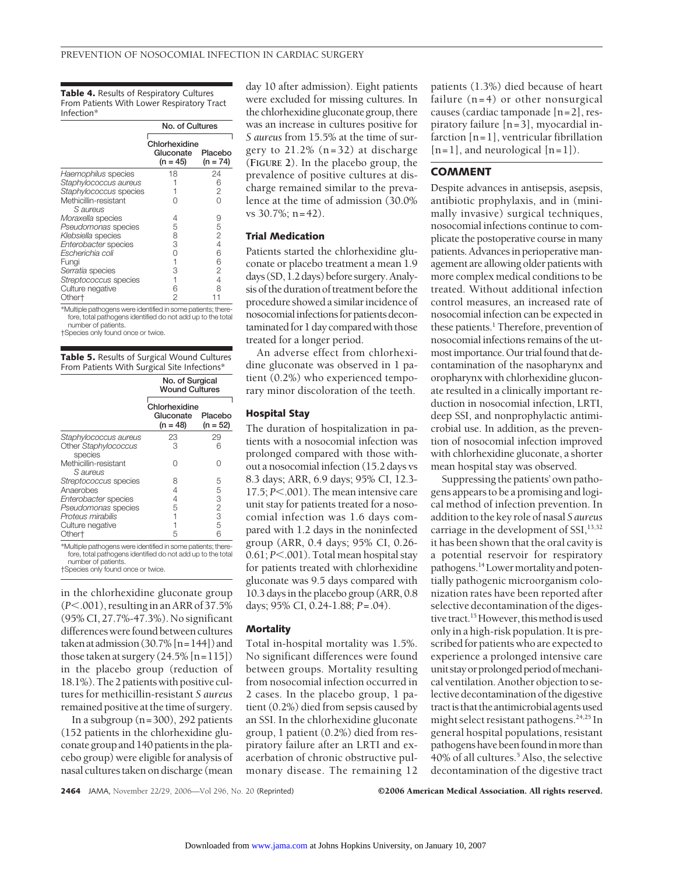**Table 4.** Results of Respiratory Cultures From Patients With Lower Respiratory Tract Infection\*

|                                   | No. of Cultures                          |                       |  |
|-----------------------------------|------------------------------------------|-----------------------|--|
|                                   | Chlorhexidine<br>Gluconate<br>$(n = 45)$ | Placebo<br>$(n = 74)$ |  |
| Haemophilus species               | 18                                       | 24                    |  |
| Staphylococcus aureus             |                                          | 6                     |  |
| Staphylococcus species            |                                          | 2                     |  |
| Methicillin-resistant<br>S aureus |                                          |                       |  |
| Moraxella species                 | 4                                        | 9                     |  |
| Pseudomonas species               | 5                                        | 5                     |  |
| Klebsiella species                | 8                                        | $\overline{2}$        |  |
| Enterobacter species              | З                                        | 4                     |  |
| Escherichia coli                  | Ω                                        | 6                     |  |
| Fungi                             | 1                                        | 6                     |  |
| Serratia species                  | З                                        | 2                     |  |
| Streptococcus species             | 1                                        | 4                     |  |
| Culture negative                  | 6                                        | 8                     |  |
| Other†                            | 2                                        |                       |  |

\*Multiple pathogens were identified in some patients; therefore, total pathogens identified do not add up to the total number of patients.

†Species only found once or twice.

**Table 5.** Results of Surgical Wound Cultures From Patients With Surgical Site Infections\*

|                                                                                                                             | No. of Surgical<br><b>Wound Cultures</b> |                       |
|-----------------------------------------------------------------------------------------------------------------------------|------------------------------------------|-----------------------|
|                                                                                                                             | Chlorhexidine<br>Gluconate<br>$(n = 48)$ | Placebo<br>$(n = 52)$ |
| Staphylococcus aureus                                                                                                       | 23                                       | 29                    |
| Other Staphylococcus<br>species                                                                                             | 3                                        | 6                     |
| Methicillin-resistant<br>S aureus                                                                                           | ∩                                        | Λ                     |
| Streptococcus species                                                                                                       | 8                                        | 5                     |
| Anaerobes                                                                                                                   | 4                                        | $\frac{5}{3}$         |
| Enterobacter species                                                                                                        | 4                                        |                       |
| Pseudomonas species                                                                                                         | 5                                        | $\overline{c}$        |
| Proteus mirabilis                                                                                                           |                                          | $\overline{3}$        |
| Culture negative                                                                                                            |                                          | 5                     |
| Other <sup>+</sup>                                                                                                          | 5                                        | 6                     |
| *Multiple pathogens were identified in some patients; there-<br>fore, total pathogona identified do not add up to the total |                                          |                       |

ed do not add up to the tota number of patients. †Species only found once or twice.

in the chlorhexidine gluconate group (*P*.001), resultingin an ARR of 37.5% (95% CI, 27.7%-47.3%). No significant differenceswerefound between cultures taken at admission  $(30.7\%$  [n = 144]) and those taken at surgery  $(24.5\%$  [n=115]) in the placebo group (reduction of 18.1%).The 2 patients with positive cultures for methicillin-resistant *S aureus* remained positive at the time of surgery.

In a subgroup (n=300), 292 patients (152 patients in the chlorhexidine gluconate group and 140 patientsin the placebo group) were eligible for analysis of nasal cultures taken on discharge (mean

day 10 after admission). Eight patients were excluded for missing cultures. In the chlorhexidine gluconate group, there was an increase in cultures positive for *S aureus* from 15.5% at the time of surgery to 21.2% (n=32) at discharge (**FIGURE 2**). In the placebo group, the prevalence of positive cultures at discharge remained similar to the prevalence at the time of admission (30.0% vs 30.7%; n=42).

## **Trial Medication**

Patients started the chlorhexidine gluconate or placebo treatment a mean 1.9 days (SD, 1.2 days) before surgery.Analysis of the duration of treatment before the procedure showed a similar incidence of nosocomialinfectionsfor patients decontaminated for 1 day compared with those treated for a longer period.

An adverse effect from chlorhexidine gluconate was observed in 1 patient (0.2%) who experienced temporary minor discoloration of the teeth.

# **Hospital Stay**

The duration of hospitalization in patients with a nosocomial infection was prolonged compared with those without a nosocomial infection (15.2 days vs 8.3 days; ARR, 6.9 days; 95% CI, 12.3- 17.5; *P* $<$ .001). The mean intensive care unit stay for patients treated for a nosocomial infection was 1.6 days compared with 1.2 days in the noninfected group (ARR, 0.4 days; 95% CI, 0.26- 0.61; *P*<.001). Total mean hospital stay for patients treated with chlorhexidine gluconate was 9.5 days compared with 10.3 days in the placebo group (ARR, 0.8 days; 95% CI, 0.24-1.88; *P*=.04).

#### **Mortality**

Total in-hospital mortality was 1.5%. No significant differences were found between groups. Mortality resulting from nosocomial infection occurred in 2 cases. In the placebo group, 1 patient (0.2%) died from sepsis caused by an SSI. In the chlorhexidine gluconate group, 1 patient (0.2%) died from respiratory failure after an LRTI and exacerbation of chronic obstructive pulmonary disease. The remaining 12

patients (1.3%) died because of heart failure  $(n=4)$  or other nonsurgical causes (cardiac tamponade [n=2], respiratory failure [n=3], myocardial infarction [n=1], ventricular fibrillation  $[n=1]$ , and neurological  $[n=1]$ ).

# **COMMENT**

Despite advances in antisepsis, asepsis, antibiotic prophylaxis, and in (minimally invasive) surgical techniques, nosocomial infections continue to complicate the postoperative course in many patients. Advances in perioperative management are allowing older patients with more complex medical conditions to be treated. Without additional infection control measures, an increased rate of nosocomial infection can be expected in these patients.<sup>1</sup> Therefore, prevention of nosocomial infections remains of the utmost importance. Our trial found that decontamination of the nasopharynx and oropharynx with chlorhexidine gluconate resulted in a clinically important reduction in nosocomial infection, LRTL deep SSI, and nonprophylactic antimicrobial use. In addition, as the prevention of nosocomial infection improved with chlorhexidine gluconate, a shorter mean hospital stay was observed.

Suppressing the patients' own pathogens appears to be a promising and logical method of infection prevention. In addition to the key role of nasal *S aureus* carriage in the development of  $SSI$ ,  $13,32$ it has been shown that the oral cavity is a potential reservoir for respiratory pathogens.<sup>14</sup>Lower mortality and potentially pathogenic microorganism colonization rates have been reported after selective decontamination of the digestive tract.<sup>15</sup> However, this method is used only in a high-risk population. It is prescribed for patients who are expected to experience a prolonged intensive care unit stay or prolonged period of mechanical ventilation. Another objection to selective decontamination of the digestive tract is that the antimicrobial agents used might select resistant pathogens.<sup>24,25</sup> In general hospital populations, resistant pathogens have been found in more than 40% of all cultures.<sup>5</sup> Also, the selective decontamination of the digestive tract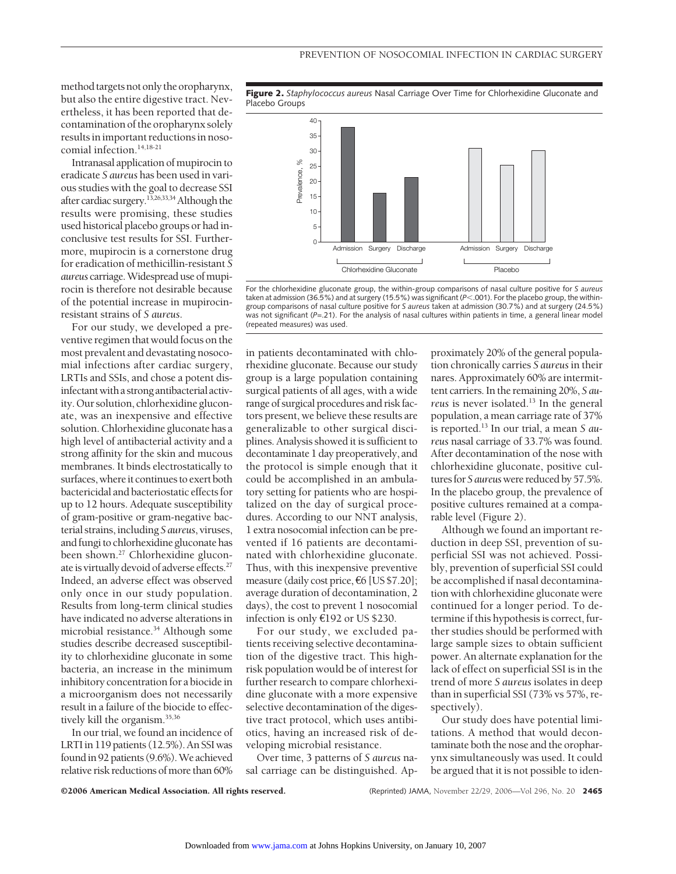method targets not only the oropharynx, but also the entire digestive tract. Nevertheless, it has been reported that decontamination of the oropharynx solely results in important reductions in nosocomial infection.14,18-21

Intranasal application of mupirocin to eradicate *S aureus* has been used in various studies with the goal to decrease SSI after cardiac surgery.13,26,33,34Although the results were promising, these studies used historical placebo groups or had inconclusive test results for SSI. Furthermore, mupirocin is a cornerstone drug for eradication of methicillin-resistant *S aureus* carriage.Widespread use ofmupirocin is therefore not desirable because of the potential increase in mupirocinresistant strains of *S aureus*.

For our study, we developed a preventive regimen that would focus on the most prevalent and devastating nosocomial infections after cardiac surgery, LRTIs and SSIs, and chose a potent disinfectant with a strong antibacterial activity. Our solution, chlorhexidine gluconate, was an inexpensive and effective solution. Chlorhexidine gluconate has a high level of antibacterial activity and a strong affinity for the skin and mucous membranes. It binds electrostatically to surfaces, where it continues to exert both bactericidal and bacteriostatic effects for up to 12 hours. Adequate susceptibility of gram-positive or gram-negative bacterial strains,including *S aureus*, viruses, andfungi to chlorhexidine gluconate has been shown.<sup>27</sup> Chlorhexidine gluconate is virtually devoid of adverse effects. $27$ Indeed, an adverse effect was observed only once in our study population. Results from long-term clinical studies have indicated no adverse alterations in microbial resistance.<sup>34</sup> Although some studies describe decreased susceptibility to chlorhexidine gluconate in some bacteria, an increase in the minimum inhibitory concentration for a biocide in a microorganism does not necessarily result in a failure of the biocide to effectively kill the organism.<sup>35,36</sup>

In our trial, we found an incidence of LRTI in 119 patients (12.5%). An SSI was found in 92 patients (9.6%). We achieved relative risk reductions of more than 60%

**Figure 2.** *Staphylococcus aureus* Nasal Carriage Over Time for Chlorhexidine Gluconate and Placebo Groups



For the chlorhexidine gluconate group, the within-group comparisons of nasal culture positive for *S aureus* taken at admission (36.5%) and at surgery (15.5%) was significant (*P*<.001). For the placebo group, the withingroup comparisons of nasal culture positive for *S aureus* taken at admission (30.7%) and at surgery (24.5%) was not significant (*P*=.21). For the analysis of nasal cultures within patients in time, a general linear model (repeated measures) was used.

in patients decontaminated with chlorhexidine gluconate. Because our study group is a large population containing surgical patients of all ages, with a wide range of surgical procedures and risk factors present, we believe these results are generalizable to other surgical disciplines. Analysis showed it is sufficient to decontaminate 1 day preoperatively, and the protocol is simple enough that it could be accomplished in an ambulatory setting for patients who are hospitalized on the day of surgical procedures. According to our NNT analysis, 1 extra nosocomial infection can be prevented if 16 patients are decontaminated with chlorhexidine gluconate. Thus, with this inexpensive preventive measure (daily cost price, €6 [US \$7.20]; average duration of decontamination, 2 days), the cost to prevent 1 nosocomial infection is only €192 or US \$230.

For our study, we excluded patients receiving selective decontamination of the digestive tract. This highrisk population would be of interest for further research to compare chlorhexidine gluconate with a more expensive selective decontamination of the digestive tract protocol, which uses antibiotics, having an increased risk of developing microbial resistance.

Over time, 3 patterns of *S aureus* nasal carriage can be distinguished. Ap-

proximately 20% of the general population chronically carries *S aureus*in their nares. Approximately 60% are intermittent carriers. In the remaining 20%, *S aureus* is never isolated.<sup>13</sup> In the general population, a mean carriage rate of 37% is reported.13 In our trial, a mean *S aureus* nasal carriage of 33.7% was found. After decontamination of the nose with chlorhexidine gluconate, positive cultures for *S aureus* were reduced by 57.5%. In the placebo group, the prevalence of positive cultures remained at a comparable level (Figure 2).

Although we found an important reduction in deep SSI, prevention of superficial SSI was not achieved. Possibly, prevention of superficial SSI could be accomplished if nasal decontamination with chlorhexidine gluconate were continued for a longer period. To determine if this hypothesis is correct, further studies should be performed with large sample sizes to obtain sufficient power. An alternate explanation for the lack of effect on superficial SSI is in the trend of more *S aureus* isolates in deep than in superficial SSI (73% vs 57%, respectively).

Our study does have potential limitations. A method that would decontaminate both the nose and the oropharynx simultaneously was used. It could be argued that it is not possible to iden-

©2006 American Medical Association. All rights reserved. (Reprinted) JAMA, November 22/29, 2006—Vol 296, No. 20 **2465**